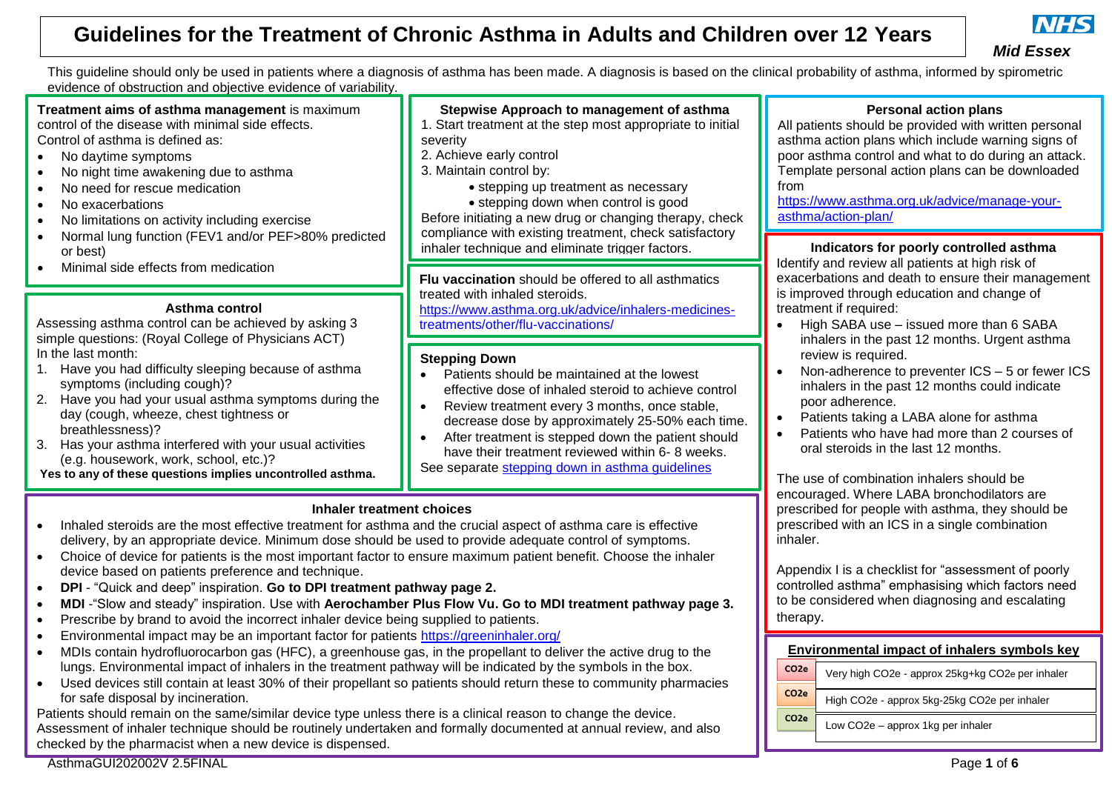

### *Mid Essex*

This guideline should only be used in patients where a diagnosis of asthma has been made. A diagnosis is based on the clinical probability of asthma, informed by spirometric evidence of obstruction and objective evidence of variability.

**Treatment aims of asthma management** is maximum control of the disease with minimal side effects. Control of asthma is defined as:

- No daytime symptoms
- No night time awakening due to asthma
- No need for rescue medication
- No exacerbations
- No limitations on activity including exercise
- Normal lung function (FEV1 and/or PEF>80% predicted or best)
- Minimal side effects from medication

#### **Asthma control**

Assessing asthma control can be achieved by asking 3 simple questions: (Royal College of Physicians ACT) In the last month:

- 1. Have you had difficulty sleeping because of asthma symptoms (including cough)?
- 2. Have you had your usual asthma symptoms during the day (cough, wheeze, chest tightness or breathlessness)?
- 3. Has your asthma interfered with your usual activities (e.g. housework, work, school, etc.)?

**Yes to any of these questions implies uncontrolled asthma.**

### **Stepwise Approach to management of asthma**

- 1. Start treatment at the step most appropriate to initial severity
- 2. Achieve early control
- 3. Maintain control by:
	- stepping up treatment as necessary

• stepping down when control is good Before initiating a new drug or changing therapy, check compliance with existing treatment, check satisfactory inhaler technique and eliminate trigger factors.

**Flu vaccination** should be offered to all asthmatics treated with inhaled steroids.

[https://www.asthma.org.uk/advice/inhalers-medicines](https://www.asthma.org.uk/advice/inhalers-medicines-treatments/other/flu-vaccinations/)[treatments/other/flu-vaccinations/](https://www.asthma.org.uk/advice/inhalers-medicines-treatments/other/flu-vaccinations/)

### **Stepping Down**

- Patients should be maintained at the lowest effective dose of inhaled steroid to achieve control
- Review treatment every 3 months, once stable, decrease dose by approximately 25-50% each time.
- After treatment is stepped down the patient should have their treatment reviewed within 6- 8 weeks. See separate [stepping down in asthma guidelines](https://midessexccg.nhs.uk/medicines-optimisation/clinical-pathways-and-medication-guidelines/chapter-3-respiratory-system-2)

### **Inhaler treatment choices**

- Inhaled steroids are the most effective treatment for asthma and the crucial aspect of asthma care is effective delivery, by an appropriate device. Minimum dose should be used to provide adequate control of symptoms.
- Choice of device for patients is the most important factor to ensure maximum patient benefit. Choose the inhaler device based on patients preference and technique.
- **DPI** "Quick and deep" inspiration. **Go to DPI treatment pathway page 2.**
- **MDI** -"Slow and steady" inspiration. Use with **Aerochamber Plus Flow Vu. Go to MDI treatment pathway page 3.**
- Prescribe by brand to avoid the incorrect inhaler device being supplied to patients.
- Environmental impact may be an important factor for patients <https://greeninhaler.org/>
- MDIs contain hydrofluorocarbon gas (HFC), a greenhouse gas, in the propellant to deliver the active drug to the lungs. Environmental impact of inhalers in the treatment pathway will be indicated by the symbols in the box.
- Used devices still contain at least 30% of their propellant so patients should return these to community pharmacies for safe disposal by incineration.

Patients should remain on the same/similar device type unless there is a clinical reason to change the device. Assessment of inhaler technique should be routinely undertaken and formally documented at annual review, and also checked by the pharmacist when a new device is dispensed.

AsthmaGUI202002V 2.5FINAL Page **1** of **6**

## **Environmental impact of inhalers symbols key**

| CO <sub>2e</sub> | Very high CO2e - approx 25kg+kg CO2e per inhaler |
|------------------|--------------------------------------------------|
|                  |                                                  |
| CO <sub>2e</sub> | High CO2e - approx 5kg-25kg CO2e per inhaler     |
| CO <sub>2e</sub> |                                                  |
|                  | Low CO2e - approx 1kg per inhaler                |
|                  |                                                  |

## **Personal action plans**

All patients should be provided with written personal asthma action plans which include warning signs of poor asthma control and what to do during an attack. Template personal action plans can be downloaded from

[https://www.asthma.org.uk/advice/manage-your](https://www.asthma.org.uk/advice/manage-your-asthma/action-plan/)[asthma/action-plan/](https://www.asthma.org.uk/advice/manage-your-asthma/action-plan/)

### **Indicators for poorly controlled asthma**

Identify and review all patients at high risk of exacerbations and death to ensure their management is improved through education and change of treatment if required:

- High SABA use issued more than 6 SABA inhalers in the past 12 months. Urgent asthma review is required.
- Non-adherence to preventer ICS 5 or fewer ICS inhalers in the past 12 months could indicate poor adherence.
- Patients taking a LABA alone for asthma
- Patients who have had more than 2 courses of oral steroids in the last 12 months.

The use of combination inhalers should be encouraged. Where LABA bronchodilators are prescribed for people with asthma, they should be prescribed with an ICS in a single combination inhaler.

Appendix I is a checklist for "assessment of poorly controlled asthma" emphasising which factors need to be considered when diagnosing and escalating therapy.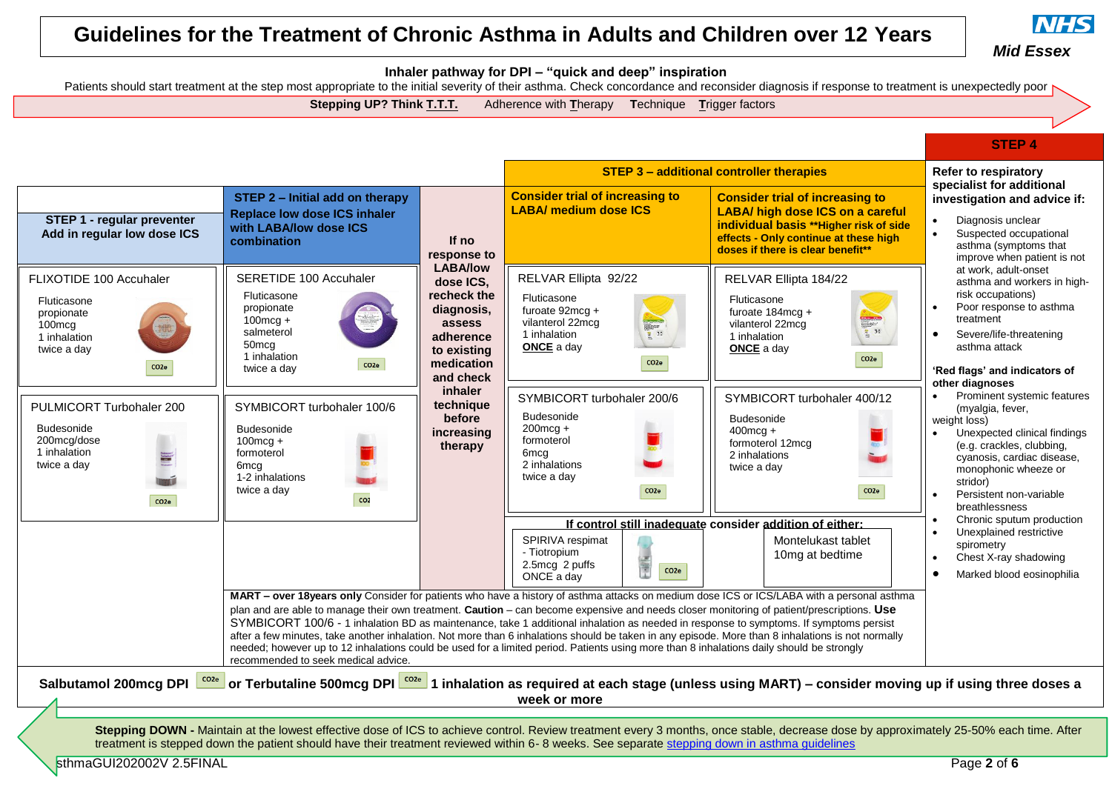

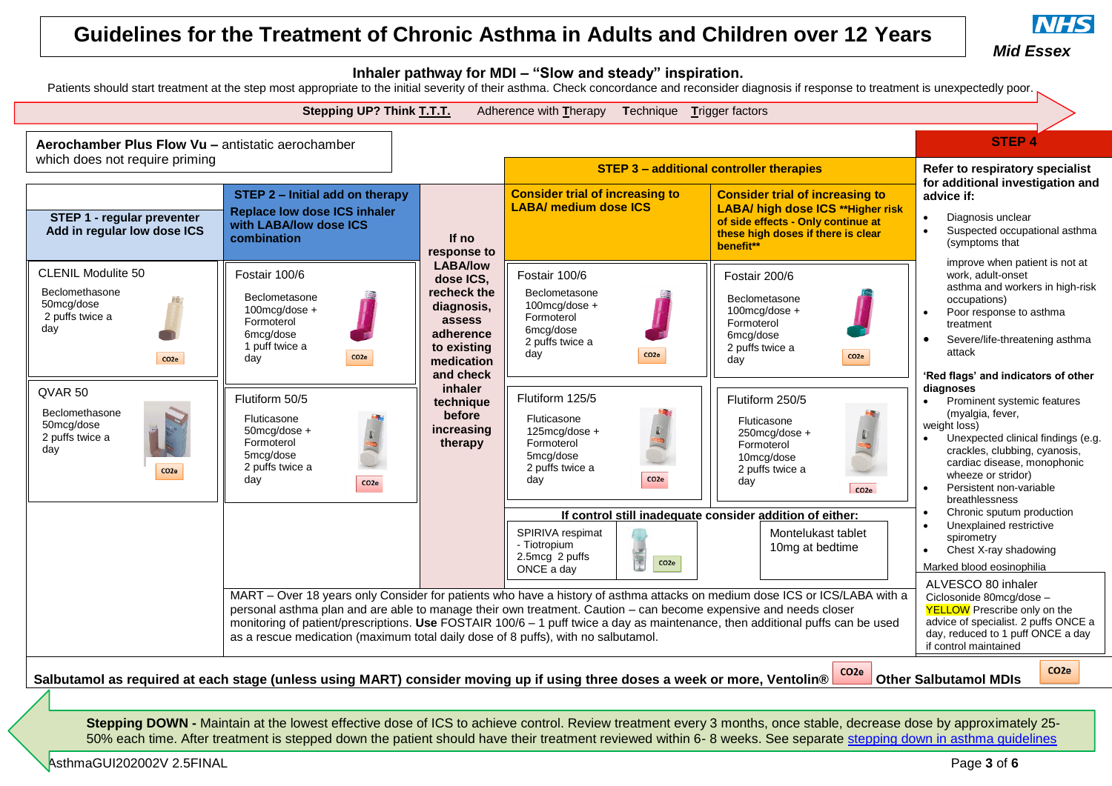



**Stepping DOWN -** Maintain at the lowest effective dose of ICS to achieve control. Review treatment every 3 months, once stable, decrease dose by approximately 25-50% each time. After treatment is stepped down the patient should have their treatment reviewed within 6- 8 weeks. See separate [stepping down in asthma guidelines](https://midessexccg.nhs.uk/medicines-optimisation/clinical-pathways-and-medication-guidelines/chapter-3-respiratory-system-2/3668-asthma-ics-step-down-guidance-and-algorithms/file)

AsthmaGUI202002V 2.5FINAL Page 3 of 6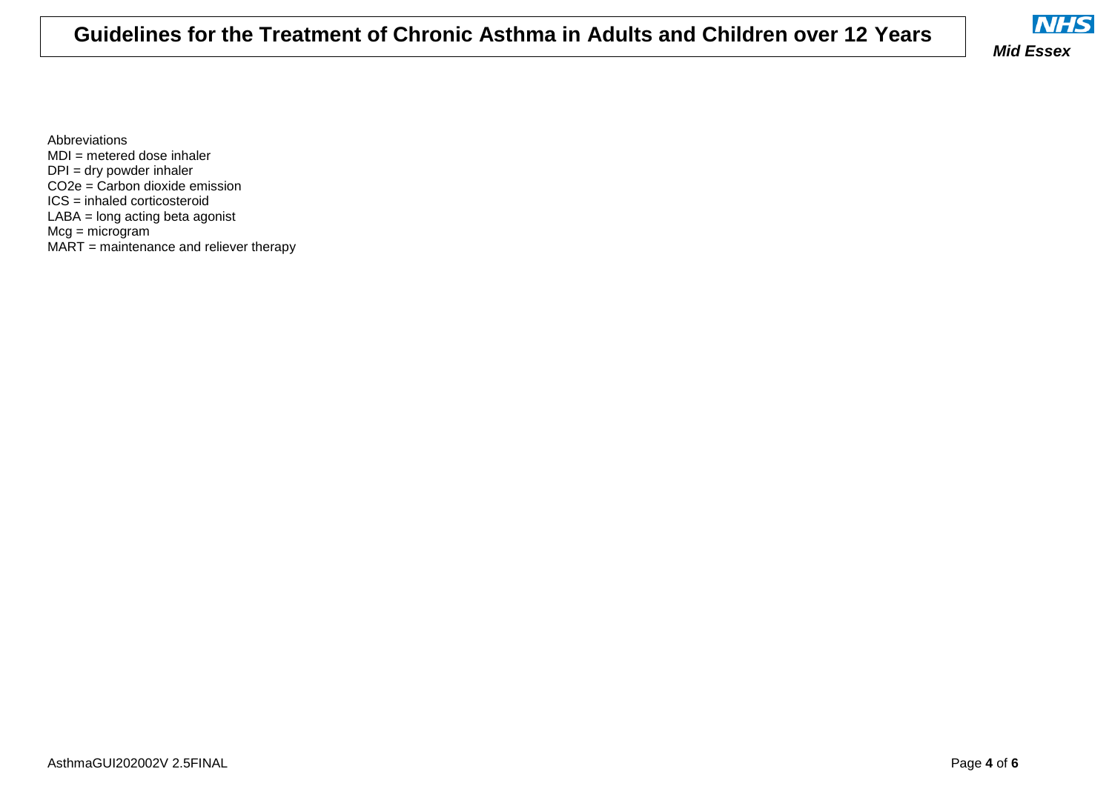

Abbreviations MDI = metered dose inhaler DPI = dry powder inhaler CO2e = Carbon dioxide emission ICS = inhaled corticosteroid LABA = long acting beta agonist Mcg = microgram MART = maintenance and reliever therapy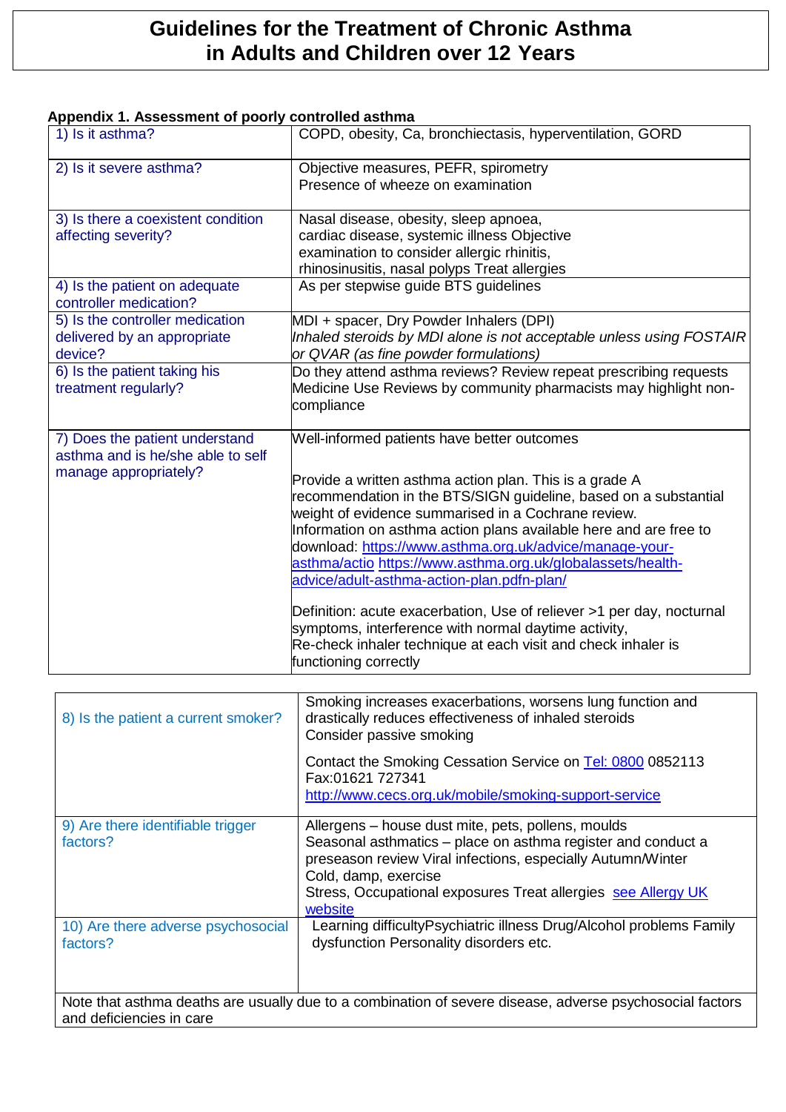### **Appendix 1. Assessment of poorly controlled asthma**

| 1) Is it asthma?                                                                             | COPD, obesity, Ca, bronchiectasis, hyperventilation, GORD                                                                                                                                                                                                                                                                                                                                                                                                                                                                                                                                                                                                                                                 |
|----------------------------------------------------------------------------------------------|-----------------------------------------------------------------------------------------------------------------------------------------------------------------------------------------------------------------------------------------------------------------------------------------------------------------------------------------------------------------------------------------------------------------------------------------------------------------------------------------------------------------------------------------------------------------------------------------------------------------------------------------------------------------------------------------------------------|
| 2) Is it severe asthma?                                                                      | Objective measures, PEFR, spirometry<br>Presence of wheeze on examination                                                                                                                                                                                                                                                                                                                                                                                                                                                                                                                                                                                                                                 |
| 3) Is there a coexistent condition<br>affecting severity?                                    | Nasal disease, obesity, sleep apnoea,<br>cardiac disease, systemic illness Objective<br>examination to consider allergic rhinitis,<br>rhinosinusitis, nasal polyps Treat allergies                                                                                                                                                                                                                                                                                                                                                                                                                                                                                                                        |
| 4) Is the patient on adequate<br>controller medication?                                      | As per stepwise guide BTS guidelines                                                                                                                                                                                                                                                                                                                                                                                                                                                                                                                                                                                                                                                                      |
| 5) Is the controller medication<br>delivered by an appropriate<br>device?                    | MDI + spacer, Dry Powder Inhalers (DPI)<br>Inhaled steroids by MDI alone is not acceptable unless using FOSTAIR<br>or QVAR (as fine powder formulations)                                                                                                                                                                                                                                                                                                                                                                                                                                                                                                                                                  |
| 6) Is the patient taking his<br>treatment regularly?                                         | Do they attend asthma reviews? Review repeat prescribing requests<br>Medicine Use Reviews by community pharmacists may highlight non-<br>compliance                                                                                                                                                                                                                                                                                                                                                                                                                                                                                                                                                       |
| 7) Does the patient understand<br>asthma and is he/she able to self<br>manage appropriately? | Well-informed patients have better outcomes<br>Provide a written asthma action plan. This is a grade A<br>recommendation in the BTS/SIGN guideline, based on a substantial<br>weight of evidence summarised in a Cochrane review.<br>Information on asthma action plans available here and are free to<br>download: https://www.asthma.org.uk/advice/manage-your-<br>asthma/actio https://www.asthma.org.uk/globalassets/health-<br>advice/adult-asthma-action-plan.pdfn-plan/<br>Definition: acute exacerbation, Use of reliever >1 per day, nocturnal<br>symptoms, interference with normal daytime activity,<br>Re-check inhaler technique at each visit and check inhaler is<br>functioning correctly |

| 8) Is the patient a current smoker?                                                                                                  | Smoking increases exacerbations, worsens lung function and<br>drastically reduces effectiveness of inhaled steroids<br>Consider passive smoking                                                                                                                                       |  |  |
|--------------------------------------------------------------------------------------------------------------------------------------|---------------------------------------------------------------------------------------------------------------------------------------------------------------------------------------------------------------------------------------------------------------------------------------|--|--|
|                                                                                                                                      | Contact the Smoking Cessation Service on Tel: 0800 0852113<br>Fax:01621 727341<br>http://www.cecs.org.uk/mobile/smoking-support-service                                                                                                                                               |  |  |
| 9) Are there identifiable trigger<br>factors?                                                                                        | Allergens – house dust mite, pets, pollens, moulds<br>Seasonal asthmatics - place on asthma register and conduct a<br>preseason review Viral infections, especially Autumn/Winter<br>Cold, damp, exercise<br>Stress, Occupational exposures Treat allergies see Allergy UK<br>website |  |  |
| 10) Are there adverse psychosocial<br>factors?                                                                                       | Learning difficultyPsychiatric illness Drug/Alcohol problems Family<br>dysfunction Personality disorders etc.                                                                                                                                                                         |  |  |
| Note that asthma deaths are usually due to a combination of severe disease, adverse psychosocial factors<br>and deficiencies in care |                                                                                                                                                                                                                                                                                       |  |  |